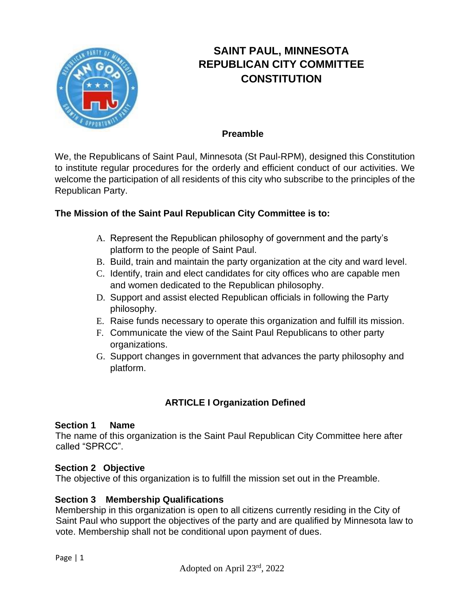

# **SAINT PAUL, MINNESOTA REPUBLICAN CITY COMMITTEE CONSTITUTION**

#### **Preamble**

We, the Republicans of Saint Paul, Minnesota (St Paul-RPM), designed this Constitution to institute regular procedures for the orderly and efficient conduct of our activities. We welcome the participation of all residents of this city who subscribe to the principles of the Republican Party.

### **The Mission of the Saint Paul Republican City Committee is to:**

- A. Represent the Republican philosophy of government and the party's platform to the people of Saint Paul.
- B. Build, train and maintain the party organization at the city and ward level.
- C. Identify, train and elect candidates for city offices who are capable men and women dedicated to the Republican philosophy.
- D. Support and assist elected Republican officials in following the Party philosophy.
- E. Raise funds necessary to operate this organization and fulfill its mission.
- F. Communicate the view of the Saint Paul Republicans to other party organizations.
- G. Support changes in government that advances the party philosophy and platform.

# **ARTICLE I Organization Defined**

### **Section 1 Name**

The name of this organization is the Saint Paul Republican City Committee here after called "SPRCC".

### **Section 2 Objective**

The objective of this organization is to fulfill the mission set out in the Preamble.

### **Section 3 Membership Qualifications**

Membership in this organization is open to all citizens currently residing in the City of Saint Paul who support the objectives of the party and are qualified by Minnesota law to vote. Membership shall not be conditional upon payment of dues.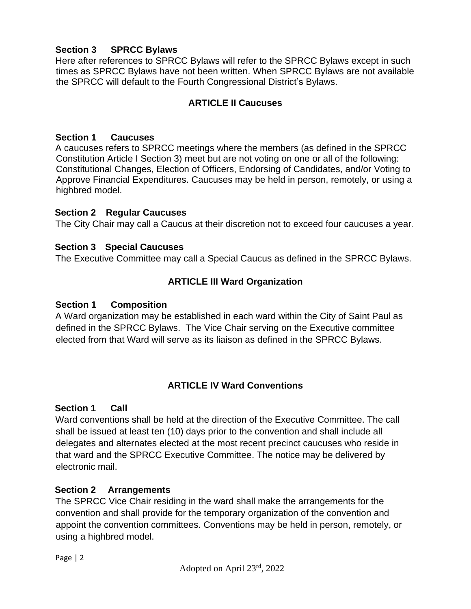### **Section 3 SPRCC Bylaws**

Here after references to SPRCC Bylaws will refer to the SPRCC Bylaws except in such times as SPRCC Bylaws have not been written. When SPRCC Bylaws are not available the SPRCC will default to the Fourth Congressional District's Bylaws.

### **ARTICLE II Caucuses**

#### **Section 1 Caucuses**

A caucuses refers to SPRCC meetings where the members (as defined in the SPRCC Constitution Article I Section 3) meet but are not voting on one or all of the following: Constitutional Changes, Election of Officers, Endorsing of Candidates, and/or Voting to Approve Financial Expenditures. Caucuses may be held in person, remotely, or using a highbred model.

#### **Section 2 Regular Caucuses**

The City Chair may call a Caucus at their discretion not to exceed four caucuses a year.

#### **Section 3 Special Caucuses**

The Executive Committee may call a Special Caucus as defined in the SPRCC Bylaws.

### **ARTICLE III Ward Organization**

#### **Section 1 Composition**

A Ward organization may be established in each ward within the City of Saint Paul as defined in the SPRCC Bylaws. The Vice Chair serving on the Executive committee elected from that Ward will serve as its liaison as defined in the SPRCC Bylaws.

### **ARTICLE IV Ward Conventions**

#### **Section 1 Call**

Ward conventions shall be held at the direction of the Executive Committee. The call shall be issued at least ten (10) days prior to the convention and shall include all delegates and alternates elected at the most recent precinct caucuses who reside in that ward and the SPRCC Executive Committee. The notice may be delivered by electronic mail.

### **Section 2 Arrangements**

The SPRCC Vice Chair residing in the ward shall make the arrangements for the convention and shall provide for the temporary organization of the convention and appoint the convention committees. Conventions may be held in person, remotely, or using a highbred model.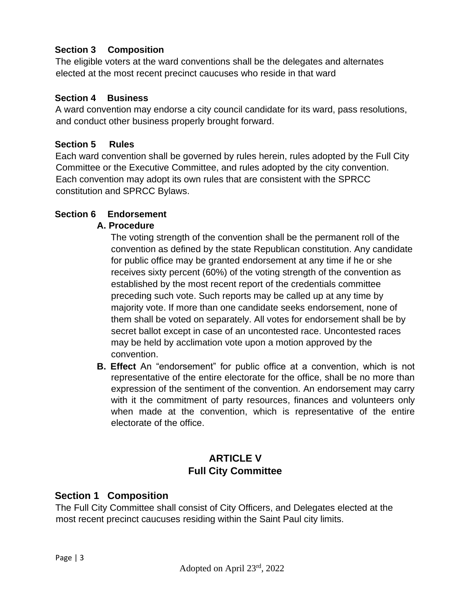## **Section 3 Composition**

The eligible voters at the ward conventions shall be the delegates and alternates elected at the most recent precinct caucuses who reside in that ward

### **Section 4 Business**

A ward convention may endorse a city council candidate for its ward, pass resolutions, and conduct other business properly brought forward.

### **Section 5 Rules**

Each ward convention shall be governed by rules herein, rules adopted by the Full City Committee or the Executive Committee, and rules adopted by the city convention. Each convention may adopt its own rules that are consistent with the SPRCC constitution and SPRCC Bylaws.

## **Section 6 Endorsement**

### **A. Procedure**

The voting strength of the convention shall be the permanent roll of the convention as defined by the state Republican constitution. Any candidate for public office may be granted endorsement at any time if he or she receives sixty percent (60%) of the voting strength of the convention as established by the most recent report of the credentials committee preceding such vote. Such reports may be called up at any time by majority vote. If more than one candidate seeks endorsement, none of them shall be voted on separately. All votes for endorsement shall be by secret ballot except in case of an uncontested race. Uncontested races may be held by acclimation vote upon a motion approved by the convention.

**B. Effect** An "endorsement" for public office at a convention, which is not representative of the entire electorate for the office, shall be no more than expression of the sentiment of the convention. An endorsement may carry with it the commitment of party resources, finances and volunteers only when made at the convention, which is representative of the entire electorate of the office.

# **ARTICLE V Full City Committee**

## **Section 1 Composition**

The Full City Committee shall consist of City Officers, and Delegates elected at the most recent precinct caucuses residing within the Saint Paul city limits.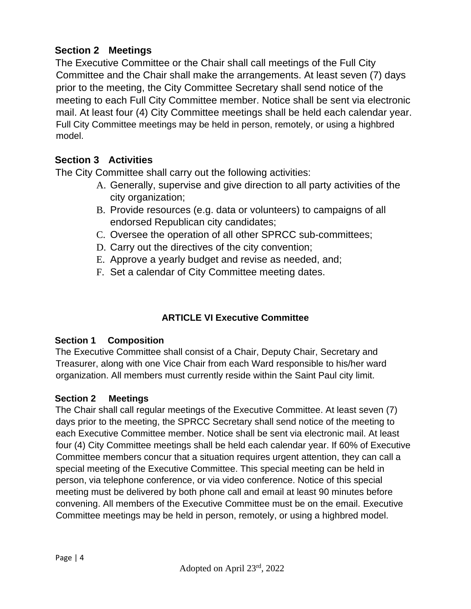# **Section 2 Meetings**

The Executive Committee or the Chair shall call meetings of the Full City Committee and the Chair shall make the arrangements. At least seven (7) days prior to the meeting, the City Committee Secretary shall send notice of the meeting to each Full City Committee member. Notice shall be sent via electronic mail. At least four (4) City Committee meetings shall be held each calendar year. Full City Committee meetings may be held in person, remotely, or using a highbred model.

# **Section 3 Activities**

The City Committee shall carry out the following activities:

- A. Generally, supervise and give direction to all party activities of the city organization;
- B. Provide resources (e.g. data or volunteers) to campaigns of all endorsed Republican city candidates;
- C. Oversee the operation of all other SPRCC sub-committees;
- D. Carry out the directives of the city convention;
- E. Approve a yearly budget and revise as needed, and;
- F. Set a calendar of City Committee meeting dates.

# **ARTICLE VI Executive Committee**

## **Section 1 Composition**

The Executive Committee shall consist of a Chair, Deputy Chair, Secretary and Treasurer, along with one Vice Chair from each Ward responsible to his/her ward organization. All members must currently reside within the Saint Paul city limit.

## **Section 2 Meetings**

The Chair shall call regular meetings of the Executive Committee. At least seven (7) days prior to the meeting, the SPRCC Secretary shall send notice of the meeting to each Executive Committee member. Notice shall be sent via electronic mail. At least four (4) City Committee meetings shall be held each calendar year. If 60% of Executive Committee members concur that a situation requires urgent attention, they can call a special meeting of the Executive Committee. This special meeting can be held in person, via telephone conference, or via video conference. Notice of this special meeting must be delivered by both phone call and email at least 90 minutes before convening. All members of the Executive Committee must be on the email. Executive Committee meetings may be held in person, remotely, or using a highbred model.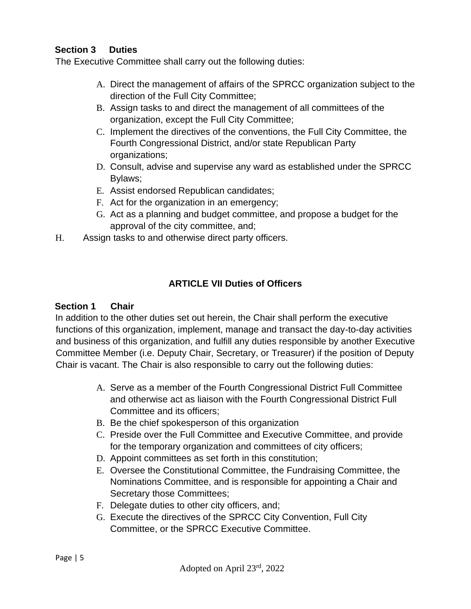## **Section 3 Duties**

The Executive Committee shall carry out the following duties:

- A. Direct the management of affairs of the SPRCC organization subject to the direction of the Full City Committee;
- B. Assign tasks to and direct the management of all committees of the organization, except the Full City Committee;
- C. Implement the directives of the conventions, the Full City Committee, the Fourth Congressional District, and/or state Republican Party organizations;
- D. Consult, advise and supervise any ward as established under the SPRCC Bylaws;
- E. Assist endorsed Republican candidates;
- F. Act for the organization in an emergency;
- G. Act as a planning and budget committee, and propose a budget for the approval of the city committee, and;
- H. Assign tasks to and otherwise direct party officers.

## **ARTICLE VII Duties of Officers**

### **Section 1 Chair**

In addition to the other duties set out herein, the Chair shall perform the executive functions of this organization, implement, manage and transact the day-to-day activities and business of this organization, and fulfill any duties responsible by another Executive Committee Member (i.e. Deputy Chair, Secretary, or Treasurer) if the position of Deputy Chair is vacant. The Chair is also responsible to carry out the following duties:

- A. Serve as a member of the Fourth Congressional District Full Committee and otherwise act as liaison with the Fourth Congressional District Full Committee and its officers;
- B. Be the chief spokesperson of this organization
- C. Preside over the Full Committee and Executive Committee, and provide for the temporary organization and committees of city officers;
- D. Appoint committees as set forth in this constitution;
- E. Oversee the Constitutional Committee, the Fundraising Committee, the Nominations Committee, and is responsible for appointing a Chair and Secretary those Committees;
- F. Delegate duties to other city officers, and;
- G. Execute the directives of the SPRCC City Convention, Full City Committee, or the SPRCC Executive Committee.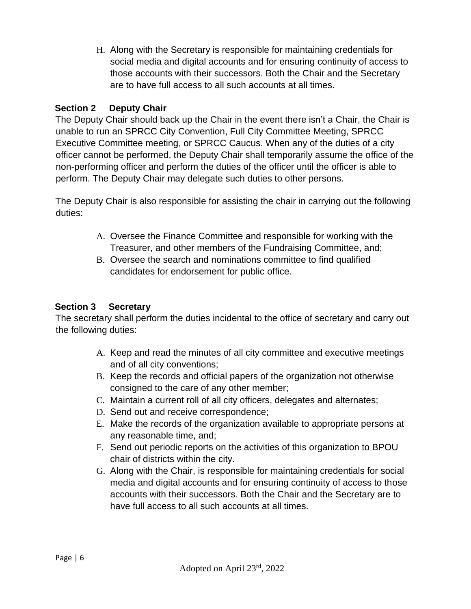H. Along with the Secretary is responsible for maintaining credentials for social media and digital accounts and for ensuring continuity of access to those accounts with their successors. Both the Chair and the Secretary are to have full access to all such accounts at all times.

## **Section 2 Deputy Chair**

The Deputy Chair should back up the Chair in the event there isn't a Chair, the Chair is unable to run an SPRCC City Convention, Full City Committee Meeting, SPRCC Executive Committee meeting, or SPRCC Caucus. When any of the duties of a city officer cannot be performed, the Deputy Chair shall temporarily assume the office of the non-performing officer and perform the duties of the officer until the officer is able to perform. The Deputy Chair may delegate such duties to other persons.

The Deputy Chair is also responsible for assisting the chair in carrying out the following duties:

- A. Oversee the Finance Committee and responsible for working with the Treasurer, and other members of the Fundraising Committee, and;
- B. Oversee the search and nominations committee to find qualified candidates for endorsement for public office.

## **Section 3 Secretary**

The secretary shall perform the duties incidental to the office of secretary and carry out the following duties:

- A. Keep and read the minutes of all city committee and executive meetings and of all city conventions;
- B. Keep the records and official papers of the organization not otherwise consigned to the care of any other member;
- C. Maintain a current roll of all city officers, delegates and alternates;
- D. Send out and receive correspondence;
- E. Make the records of the organization available to appropriate persons at any reasonable time, and;
- F. Send out periodic reports on the activities of this organization to BPOU chair of districts within the city.
- G. Along with the Chair, is responsible for maintaining credentials for social media and digital accounts and for ensuring continuity of access to those accounts with their successors. Both the Chair and the Secretary are to have full access to all such accounts at all times.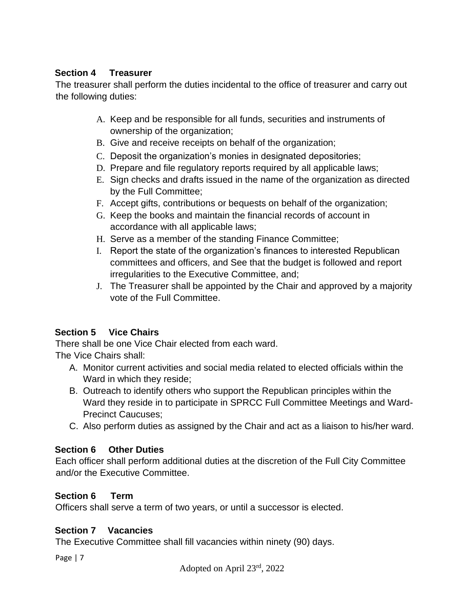## **Section 4 Treasurer**

The treasurer shall perform the duties incidental to the office of treasurer and carry out the following duties:

- A. Keep and be responsible for all funds, securities and instruments of ownership of the organization;
- B. Give and receive receipts on behalf of the organization;
- C. Deposit the organization's monies in designated depositories;
- D. Prepare and file regulatory reports required by all applicable laws;
- E. Sign checks and drafts issued in the name of the organization as directed by the Full Committee;
- F. Accept gifts, contributions or bequests on behalf of the organization;
- G. Keep the books and maintain the financial records of account in accordance with all applicable laws;
- H. Serve as a member of the standing Finance Committee;
- I. Report the state of the organization's finances to interested Republican committees and officers, and See that the budget is followed and report irregularities to the Executive Committee, and;
- J. The Treasurer shall be appointed by the Chair and approved by a majority vote of the Full Committee.

# **Section 5 Vice Chairs**

There shall be one Vice Chair elected from each ward. The Vice Chairs shall:

- A. Monitor current activities and social media related to elected officials within the Ward in which they reside;
- B. Outreach to identify others who support the Republican principles within the Ward they reside in to participate in SPRCC Full Committee Meetings and Ward-Precinct Caucuses;
- C. Also perform duties as assigned by the Chair and act as a liaison to his/her ward.

# **Section 6 Other Duties**

Each officer shall perform additional duties at the discretion of the Full City Committee and/or the Executive Committee.

# **Section 6 Term**

Officers shall serve a term of two years, or until a successor is elected.

# **Section 7 Vacancies**

The Executive Committee shall fill vacancies within ninety (90) days.

Page | 7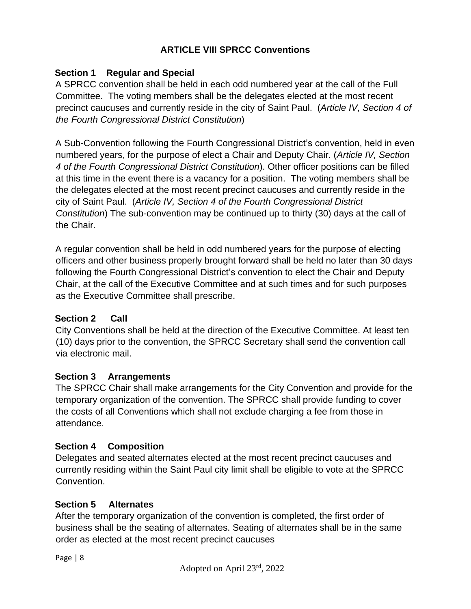## **ARTICLE VIII SPRCC Conventions**

### **Section 1 Regular and Special**

A SPRCC convention shall be held in each odd numbered year at the call of the Full Committee. The voting members shall be the delegates elected at the most recent precinct caucuses and currently reside in the city of Saint Paul. (*Article IV, Section 4 of the Fourth Congressional District Constitution*)

A Sub-Convention following the Fourth Congressional District's convention, held in even numbered years, for the purpose of elect a Chair and Deputy Chair. (*Article IV, Section 4 of the Fourth Congressional District Constitution*). Other officer positions can be filled at this time in the event there is a vacancy for a position. The voting members shall be the delegates elected at the most recent precinct caucuses and currently reside in the city of Saint Paul. (*Article IV, Section 4 of the Fourth Congressional District Constitution*) The sub-convention may be continued up to thirty (30) days at the call of the Chair.

A regular convention shall be held in odd numbered years for the purpose of electing officers and other business properly brought forward shall be held no later than 30 days following the Fourth Congressional District's convention to elect the Chair and Deputy Chair, at the call of the Executive Committee and at such times and for such purposes as the Executive Committee shall prescribe.

### **Section 2 Call**

City Conventions shall be held at the direction of the Executive Committee. At least ten (10) days prior to the convention, the SPRCC Secretary shall send the convention call via electronic mail.

### **Section 3 Arrangements**

The SPRCC Chair shall make arrangements for the City Convention and provide for the temporary organization of the convention. The SPRCC shall provide funding to cover the costs of all Conventions which shall not exclude charging a fee from those in attendance.

### **Section 4 Composition**

Delegates and seated alternates elected at the most recent precinct caucuses and currently residing within the Saint Paul city limit shall be eligible to vote at the SPRCC Convention.

## **Section 5 Alternates**

After the temporary organization of the convention is completed, the first order of business shall be the seating of alternates. Seating of alternates shall be in the same order as elected at the most recent precinct caucuses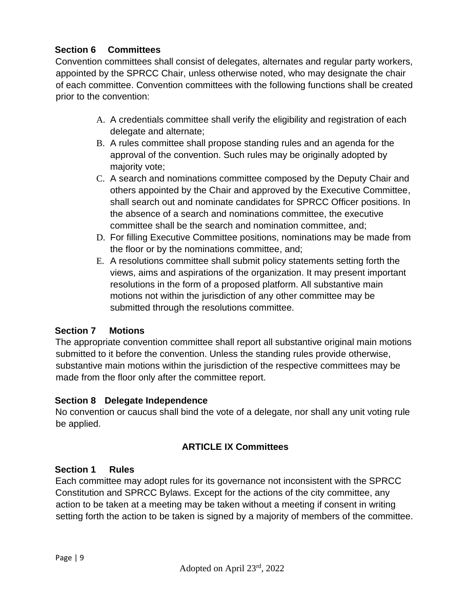## **Section 6 Committees**

Convention committees shall consist of delegates, alternates and regular party workers, appointed by the SPRCC Chair, unless otherwise noted, who may designate the chair of each committee. Convention committees with the following functions shall be created prior to the convention:

- A. A credentials committee shall verify the eligibility and registration of each delegate and alternate;
- B. A rules committee shall propose standing rules and an agenda for the approval of the convention. Such rules may be originally adopted by majority vote;
- C. A search and nominations committee composed by the Deputy Chair and others appointed by the Chair and approved by the Executive Committee, shall search out and nominate candidates for SPRCC Officer positions. In the absence of a search and nominations committee, the executive committee shall be the search and nomination committee, and;
- D. For filling Executive Committee positions, nominations may be made from the floor or by the nominations committee, and;
- E. A resolutions committee shall submit policy statements setting forth the views, aims and aspirations of the organization. It may present important resolutions in the form of a proposed platform. All substantive main motions not within the jurisdiction of any other committee may be submitted through the resolutions committee.

## **Section 7 Motions**

The appropriate convention committee shall report all substantive original main motions submitted to it before the convention. Unless the standing rules provide otherwise, substantive main motions within the jurisdiction of the respective committees may be made from the floor only after the committee report.

## **Section 8 Delegate Independence**

No convention or caucus shall bind the vote of a delegate, nor shall any unit voting rule be applied.

## **ARTICLE IX Committees**

# **Section 1 Rules**

Each committee may adopt rules for its governance not inconsistent with the SPRCC Constitution and SPRCC Bylaws. Except for the actions of the city committee, any action to be taken at a meeting may be taken without a meeting if consent in writing setting forth the action to be taken is signed by a majority of members of the committee.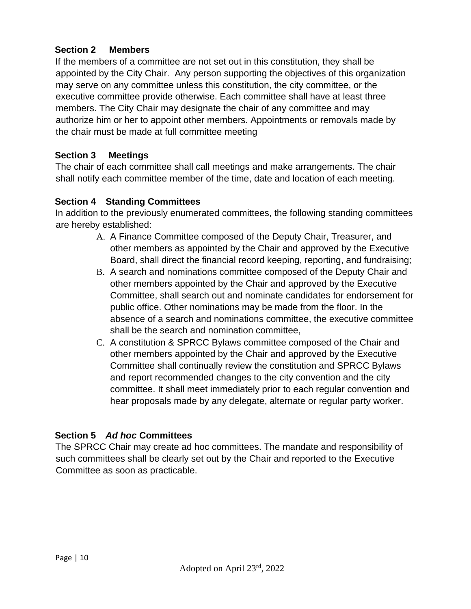## **Section 2 Members**

If the members of a committee are not set out in this constitution, they shall be appointed by the City Chair. Any person supporting the objectives of this organization may serve on any committee unless this constitution, the city committee, or the executive committee provide otherwise. Each committee shall have at least three members. The City Chair may designate the chair of any committee and may authorize him or her to appoint other members. Appointments or removals made by the chair must be made at full committee meeting

### **Section 3 Meetings**

The chair of each committee shall call meetings and make arrangements. The chair shall notify each committee member of the time, date and location of each meeting.

### **Section 4 Standing Committees**

In addition to the previously enumerated committees, the following standing committees are hereby established:

- A. A Finance Committee composed of the Deputy Chair, Treasurer, and other members as appointed by the Chair and approved by the Executive Board, shall direct the financial record keeping, reporting, and fundraising;
- B. A search and nominations committee composed of the Deputy Chair and other members appointed by the Chair and approved by the Executive Committee, shall search out and nominate candidates for endorsement for public office. Other nominations may be made from the floor. In the absence of a search and nominations committee, the executive committee shall be the search and nomination committee,
- C. A constitution & SPRCC Bylaws committee composed of the Chair and other members appointed by the Chair and approved by the Executive Committee shall continually review the constitution and SPRCC Bylaws and report recommended changes to the city convention and the city committee. It shall meet immediately prior to each regular convention and hear proposals made by any delegate, alternate or regular party worker.

### **Section 5** *Ad hoc* **Committees**

The SPRCC Chair may create ad hoc committees. The mandate and responsibility of such committees shall be clearly set out by the Chair and reported to the Executive Committee as soon as practicable.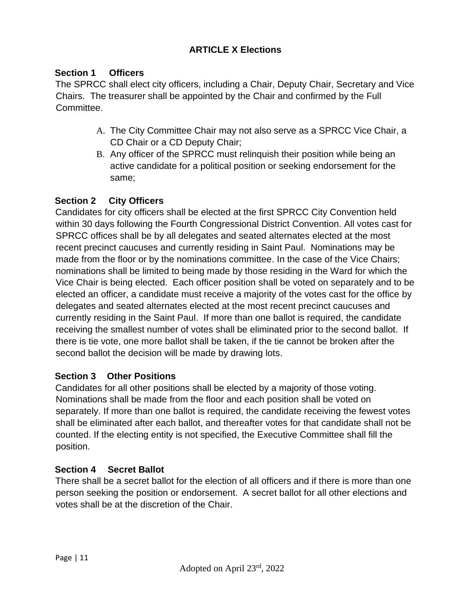# **ARTICLE X Elections**

### **Section 1 Officers**

The SPRCC shall elect city officers, including a Chair, Deputy Chair, Secretary and Vice Chairs. The treasurer shall be appointed by the Chair and confirmed by the Full Committee.

- A. The City Committee Chair may not also serve as a SPRCC Vice Chair, a CD Chair or a CD Deputy Chair;
- B. Any officer of the SPRCC must relinquish their position while being an active candidate for a political position or seeking endorsement for the same;

### **Section 2 City Officers**

Candidates for city officers shall be elected at the first SPRCC City Convention held within 30 days following the Fourth Congressional District Convention. All votes cast for SPRCC offices shall be by all delegates and seated alternates elected at the most recent precinct caucuses and currently residing in Saint Paul. Nominations may be made from the floor or by the nominations committee. In the case of the Vice Chairs; nominations shall be limited to being made by those residing in the Ward for which the Vice Chair is being elected. Each officer position shall be voted on separately and to be elected an officer, a candidate must receive a majority of the votes cast for the office by delegates and seated alternates elected at the most recent precinct caucuses and currently residing in the Saint Paul. If more than one ballot is required, the candidate receiving the smallest number of votes shall be eliminated prior to the second ballot. If there is tie vote, one more ballot shall be taken, if the tie cannot be broken after the second ballot the decision will be made by drawing lots.

### **Section 3 Other Positions**

Candidates for all other positions shall be elected by a majority of those voting. Nominations shall be made from the floor and each position shall be voted on separately. If more than one ballot is required, the candidate receiving the fewest votes shall be eliminated after each ballot, and thereafter votes for that candidate shall not be counted. If the electing entity is not specified, the Executive Committee shall fill the position.

### **Section 4 Secret Ballot**

There shall be a secret ballot for the election of all officers and if there is more than one person seeking the position or endorsement. A secret ballot for all other elections and votes shall be at the discretion of the Chair.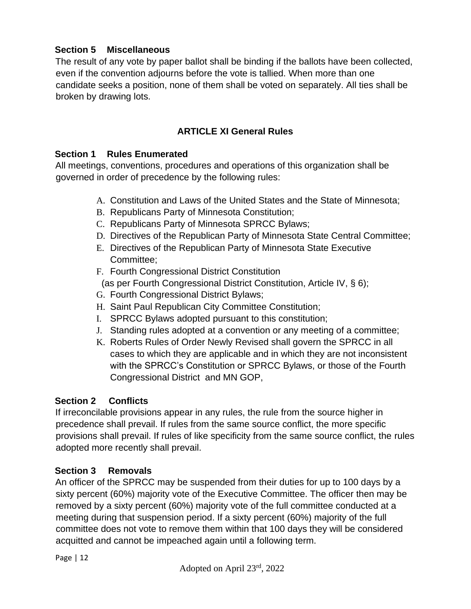## **Section 5 Miscellaneous**

The result of any vote by paper ballot shall be binding if the ballots have been collected, even if the convention adjourns before the vote is tallied. When more than one candidate seeks a position, none of them shall be voted on separately. All ties shall be broken by drawing lots.

## **ARTICLE XI General Rules**

### **Section 1 Rules Enumerated**

All meetings, conventions, procedures and operations of this organization shall be governed in order of precedence by the following rules:

- A. Constitution and Laws of the United States and the State of Minnesota;
- B. Republicans Party of Minnesota Constitution;
- C. Republicans Party of Minnesota SPRCC Bylaws;
- D. Directives of the Republican Party of Minnesota State Central Committee;
- E. Directives of the Republican Party of Minnesota State Executive Committee;
- F. Fourth Congressional District Constitution (as per Fourth Congressional District Constitution, Article IV, § 6);
- G. Fourth Congressional District Bylaws;
- H. Saint Paul Republican City Committee Constitution;
- I. SPRCC Bylaws adopted pursuant to this constitution;
- J. Standing rules adopted at a convention or any meeting of a committee;
- K. Roberts Rules of Order Newly Revised shall govern the SPRCC in all cases to which they are applicable and in which they are not inconsistent with the SPRCC's Constitution or SPRCC Bylaws, or those of the Fourth Congressional District and MN GOP,

## **Section 2 Conflicts**

If irreconcilable provisions appear in any rules, the rule from the source higher in precedence shall prevail. If rules from the same source conflict, the more specific provisions shall prevail. If rules of like specificity from the same source conflict, the rules adopted more recently shall prevail.

### **Section 3 Removals**

An officer of the SPRCC may be suspended from their duties for up to 100 days by a sixty percent (60%) majority vote of the Executive Committee. The officer then may be removed by a sixty percent (60%) majority vote of the full committee conducted at a meeting during that suspension period. If a sixty percent (60%) majority of the full committee does not vote to remove them within that 100 days they will be considered acquitted and cannot be impeached again until a following term.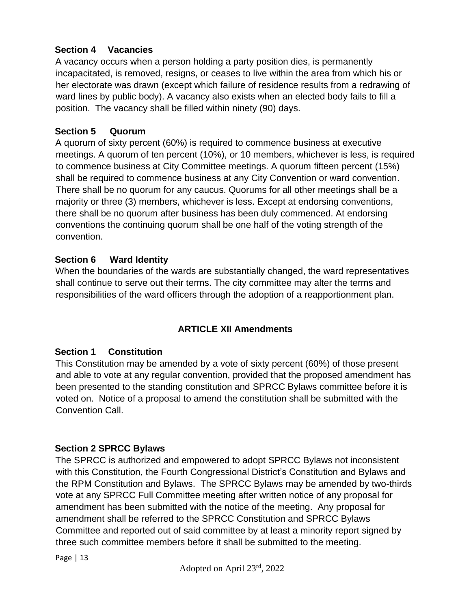## **Section 4 Vacancies**

A vacancy occurs when a person holding a party position dies, is permanently incapacitated, is removed, resigns, or ceases to live within the area from which his or her electorate was drawn (except which failure of residence results from a redrawing of ward lines by public body). A vacancy also exists when an elected body fails to fill a position. The vacancy shall be filled within ninety (90) days.

### **Section 5 Quorum**

A quorum of sixty percent (60%) is required to commence business at executive meetings. A quorum of ten percent (10%), or 10 members, whichever is less, is required to commence business at City Committee meetings. A quorum fifteen percent (15%) shall be required to commence business at any City Convention or ward convention. There shall be no quorum for any caucus. Quorums for all other meetings shall be a majority or three (3) members, whichever is less. Except at endorsing conventions, there shall be no quorum after business has been duly commenced. At endorsing conventions the continuing quorum shall be one half of the voting strength of the convention.

### **Section 6 Ward Identity**

When the boundaries of the wards are substantially changed, the ward representatives shall continue to serve out their terms. The city committee may alter the terms and responsibilities of the ward officers through the adoption of a reapportionment plan.

## **ARTICLE XII Amendments**

### **Section 1 Constitution**

This Constitution may be amended by a vote of sixty percent (60%) of those present and able to vote at any regular convention, provided that the proposed amendment has been presented to the standing constitution and SPRCC Bylaws committee before it is voted on. Notice of a proposal to amend the constitution shall be submitted with the Convention Call.

### **Section 2 SPRCC Bylaws**

The SPRCC is authorized and empowered to adopt SPRCC Bylaws not inconsistent with this Constitution, the Fourth Congressional District's Constitution and Bylaws and the RPM Constitution and Bylaws. The SPRCC Bylaws may be amended by two-thirds vote at any SPRCC Full Committee meeting after written notice of any proposal for amendment has been submitted with the notice of the meeting. Any proposal for amendment shall be referred to the SPRCC Constitution and SPRCC Bylaws Committee and reported out of said committee by at least a minority report signed by three such committee members before it shall be submitted to the meeting.

Page | 13